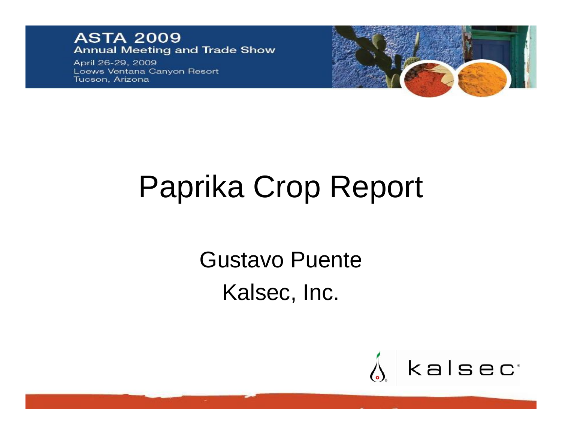#### **ASTA 2009 Annual Meeting and Trade Show**

April 26-29, 2009 Loews Ventana Canyon Resort Tucson, Arizona



# Paprika Crop Report

Gustavo Puente Kalsec, Inc.

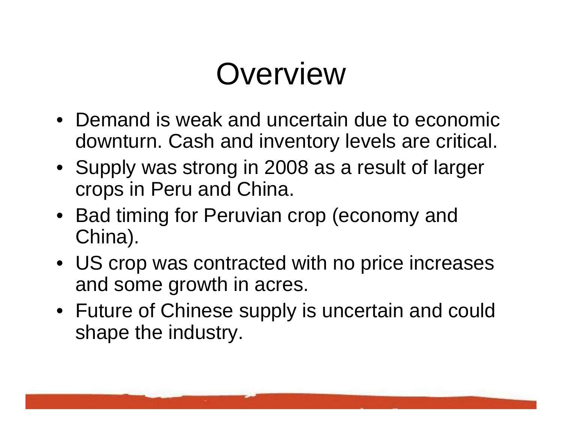## **Overview**

- Demand is weak and uncertain due to economic downturn. Cash and inventory levels are critical.
- Supply was strong in 2008 as a result of larger crops in Peru and China.
- Bad timing for Peruvian crop (economy and China).
- US crop was contracted with no price increases and some growth in acres.
- Future of Chinese supply is uncertain and could shape the industry.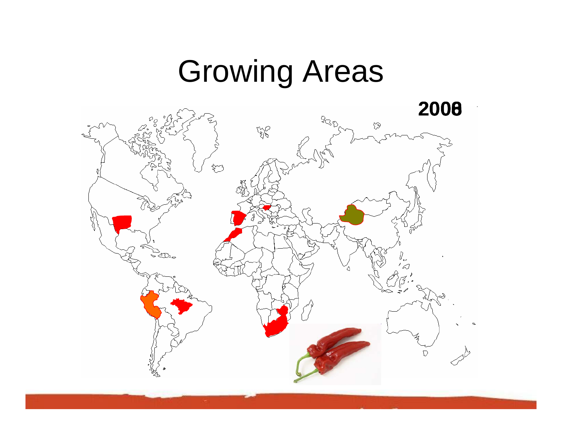## Growing Areas

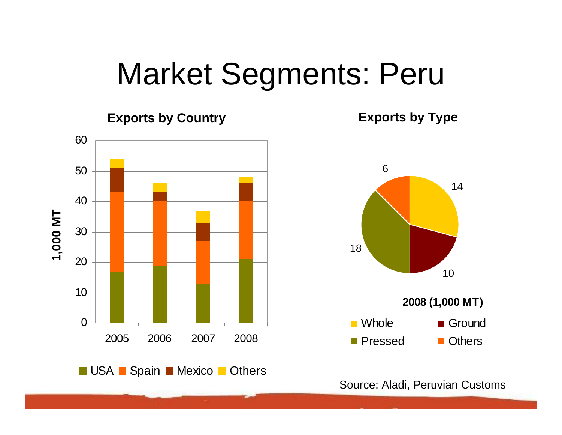### Market Segments: Peru

**Exports by Country Exports by Type**



Source: Aladi, Peruvian Customs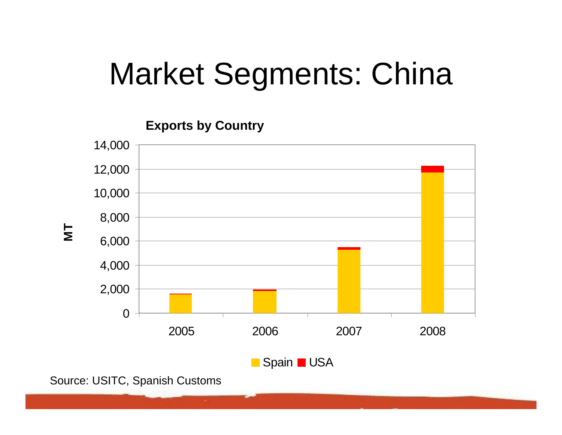## Market Segments: China

**Exports by Country**



Source: USITC, Spanish Customs

**MT**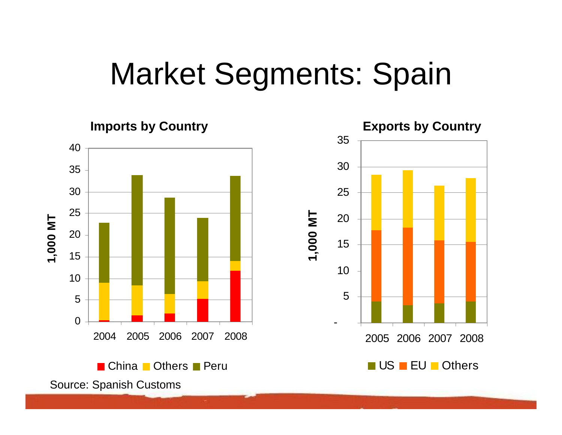## Market Segments: Spain



Source: Spanish Customs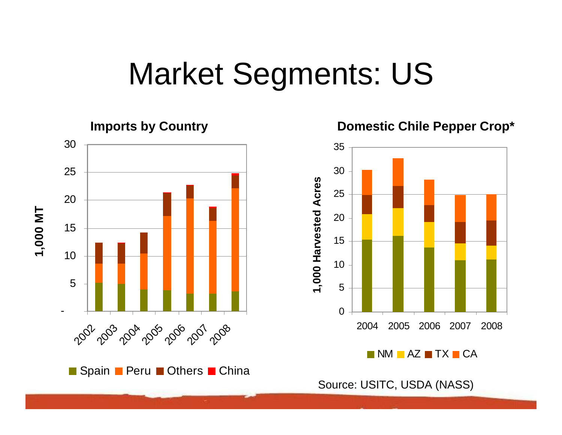## Market Segments: US





Source: USITC, USDA (NASS)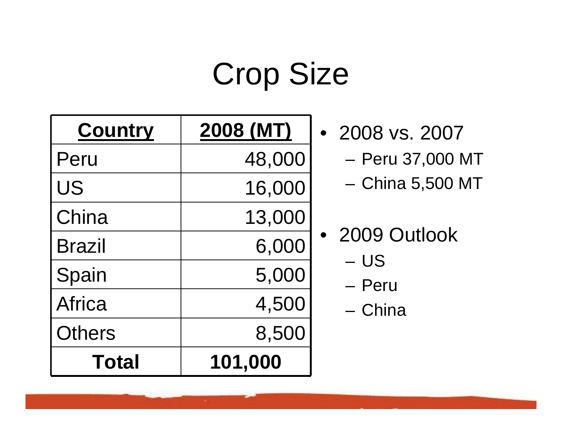## Crop Size

| <b>Country</b> | 2008 (MT) |  |
|----------------|-----------|--|
| Peru           | 48,000    |  |
| US             | 16,000    |  |
| China          | 13,000    |  |
| <b>Brazil</b>  | 6,000     |  |
| Spain          | 5,000     |  |
| <b>Africa</b>  | 4,500     |  |
| <b>Others</b>  | 8,500     |  |
| <b>Total</b>   | 101,000   |  |

- 2008 vs. 2007
	- and the state of the Peru 37,000 MT
	- and the state of the China 5,500 MT

|  | 2009 Outlook |
|--|--------------|

- US
- Peru
- China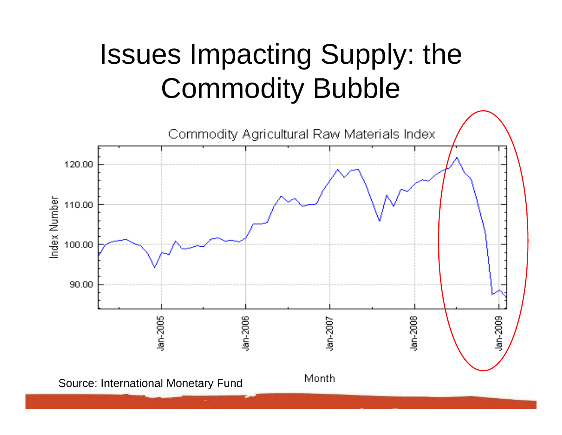### Issues Impacting Supply: the Commodity Bubble

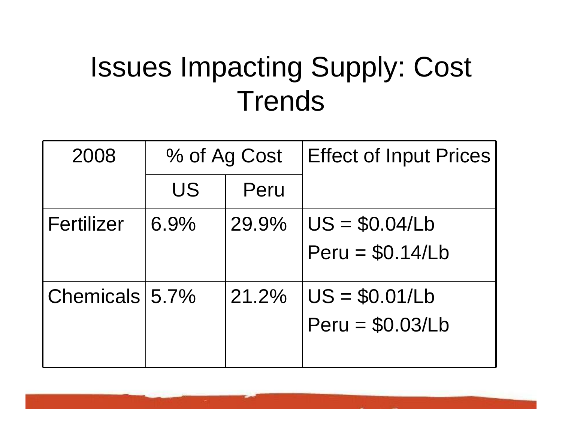### Issues Impacting Supply: Cost **Trends**

| 2008               | % of Ag Cost |       | <b>Effect of Input Prices!</b>        |
|--------------------|--------------|-------|---------------------------------------|
|                    | US           | Peru  |                                       |
| Fertilizer         | 6.9%         | 29.9% | $U S = $0.04/Lb$<br>$Peru = $0.14/Lb$ |
| Chemicals $ 5.7\%$ |              | 21.2% | $US = $0.01/Lb$<br>$Peru = $0.03/Lb$  |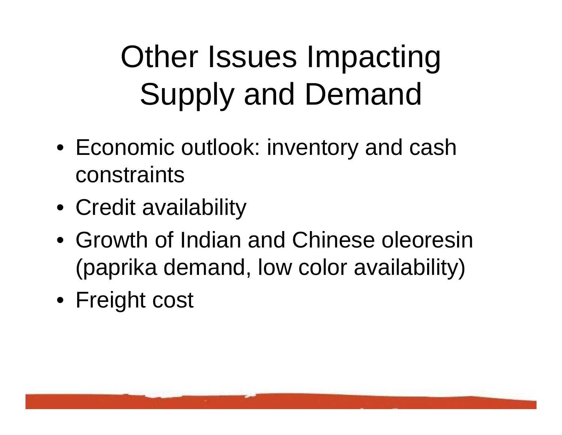# Other Issues Impacting Supply and Demand

- Economic outlook: inventory and cash constraints
- Credit availability
- Growth of Indian and Chinese oleoresin (paprika demand, low color availability)
- Freight cost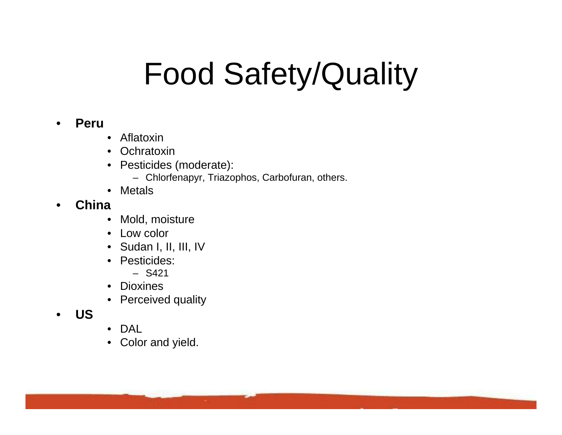## Food Safety/Quality

#### •**Peru**

- $\bullet$ Aflatoxin
- •**Ochratoxin**
- Pesticides (moderate):
	- Chlorfenapyr, Triazophos, Carbofuran, others.
- Metals

#### •**China**

- $\bullet$ Mold, moisture
- Low color
- Sudan I, II, III, IV
- Pesticides:
	- S421
- Dioxines
- Perceived quality
- •**US**
- DAL
- $\bullet$ Color and yield.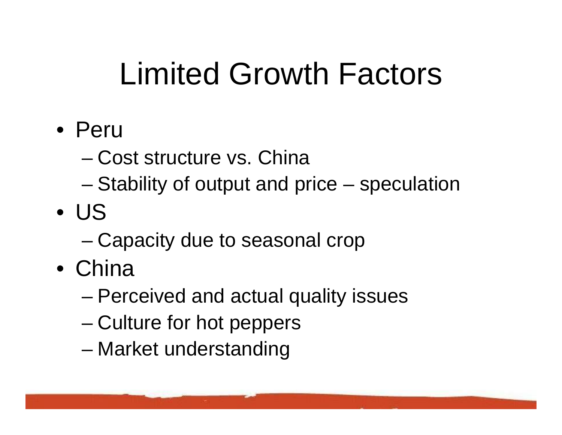## Limited Growth Factors

- Peru
	- Cost structure vs. China
	- –Stability of output and price – speculation
- US
	- –Capacity due to seasonal crop
- China
	- –Perceived and actual quality issues
	- and the state of the state Culture for hot peppers
	- and the state of the state Market understanding